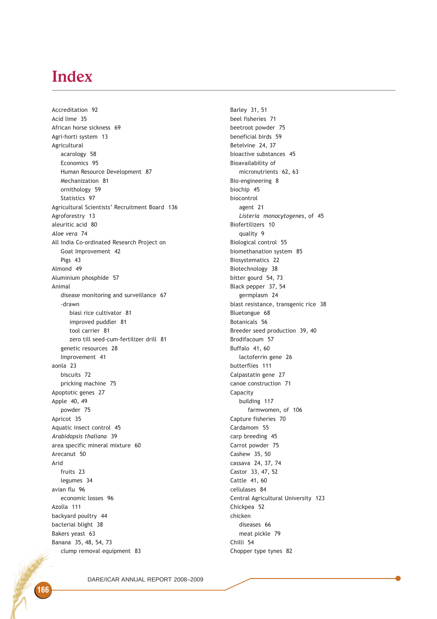## Index

Accreditation 92 Acid lime 35 African horse sickness 69 Agri-horti system 13 Agricultural acarology 58 Economics 95 Human Resource Development 87 Mechanization 81 ornithology 59 Statistics 97 Agricultural Scientists' Recruitment Board 136 Agroforestry 13 aleuritic acid 80 Aloe vera 74 All India Co-ordinated Research Project on Goat Improvement 42 Pigs 43 Almond 49 Aluminium phosphide 57 Animal disease monitoring and surveillance 67 -drawn biasi rice cultivator 81 improved puddler 81 tool carrier 81 zero till seed-cum-fertilizer drill 81 genetic resources 28 Improvement 41 aonla 23 biscuits 72 pricking machine 75 Apoptotic genes 27 Apple 40, 49 powder 75 Apricot 35 Aquatic insect control 45 Arabidopsis thaliana 39 area specific mineral mixture 60 Arecanut 50 Arid fruits 23 legumes 34 avian flu 96 economic losses 96 Azolla 111 backyard poultry 44 bacterial blight 38 Bakers yeast 63 Banana 35, 48, 54, 73 clump removal equipment 83

Barley 31, 51 beel fisheries 71 beetroot powder 75 beneficial birds 59 Betelvine 24, 37 bioactive substances 45 Bioavailability of micronutrients 62, 63 Bio-engineering 8 biochip 45 biocontrol agent 21 Listeria monocytogenes, of 45 Biofertilizers 10 quality 9 Biological control 55 biomethanation system 85 Biosystematics 22 Biotechnology 38 bitter gourd 54, 73 Black pepper 37, 54 germplasm 24 blast resistance, transgenic rice 38 Bluetongue 68 Botanicals 56 Breeder seed production 39, 40 Brodifacoum 57 Buffalo 41, 60 lactoferrin gene 26 butterflies 111 Calpastatin gene 27 canoe construction 71 Capacity building 117 farmwomen, of 106 Capture fisheries 70 Cardamom 55 carp breeding 45 Carrot powder 75 Cashew 35, 50 cassava 24, 37, 74 Castor 33, 47, 52 Cattle 41, 60 cellulases 84 Central Agricultural University 123 Chickpea 52 chicken diseases 66 meat pickle 79 Chilli 54 Chopper type tynes 82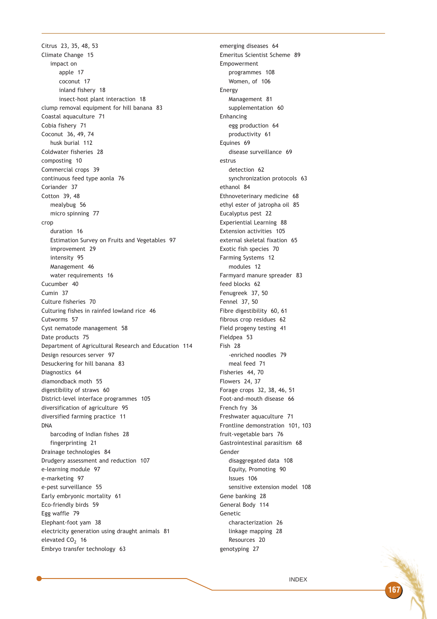Citrus 23, 35, 48, 53 Climate Change 15 impact on apple 17 coconut 17 inland fishery 18 insect-host plant interaction 18 clump removal equipment for hill banana 83 Coastal aquaculture 71 Cobia fishery 71 Coconut 36, 49, 74 husk burial 112 Coldwater fisheries 28 composting 10 Commercial crops 39 continuous feed type aonla 76 Coriander 37 Cotton 39, 48 mealybug 56 micro spinning 77 crop duration 16 Estimation Survey on Fruits and Vegetables 97 improvement 29 intensity 95 Management 46 water requirements 16 Cucumber 40 Cumin 37 Culture fisheries 70 Culturing fishes in rainfed lowland rice 46 Cutworms 57 Cyst nematode management 58 Date products 75 Department of Agricultural Research and Education 114 Design resources server 97 Desuckering for hill banana 83 Diagnostics 64 diamondback moth 55 digestibility of straws 60 District-level interface programmes 105 diversification of agriculture 95 diversified farming practice 11 DNA barcoding of Indian fishes 28 fingerprinting 21 Drainage technologies 84 Drudgery assessment and reduction 107 e-learning module 97 e-marketing 97 e-pest surveillance 55 Early embryonic mortality 61 Eco-friendly birds 59 Egg waffle 79 Elephant-foot yam 38 electricity generation using draught animals 81 elevated  $CO<sub>2</sub>$  16 Embryo transfer technology 63

emerging diseases 64 Emeritus Scientist Scheme 89 Empowerment programmes 108 Women, of 106 Energy Management 81 supplementation 60 Enhancing egg production 64 productivity 61 Equines 69 disease surveillance 69 estrus detection 62 synchronization protocols 63 ethanol 84 Ethnoveterinary medicine 68 ethyl ester of jatropha oil 85 Eucalyptus pest 22 Experiential Learning 88 Extension activities 105 external skeletal fixation 65 Exotic fish species 70 Farming Systems 12 modules 12 Farmyard manure spreader 83 feed blocks 62 Fenugreek 37, 50 Fennel 37, 50 Fibre digestibility 60, 61 fibrous crop residues 62 Field progeny testing 41 Fieldpea 53 Fish 28 -enriched noodles 79 meal feed 71 Fisheries 44, 70 Flowers 24, 37 Forage crops 32, 38, 46, 51 Foot-and-mouth disease 66 French fry 36 Freshwater aquaculture 71 Frontline demonstration 101, 103 fruit-vegetable bars 76 Gastrointestinal parasitism 68 Gender disaggregated data 108 Equity, Promoting 90 Issues 106 sensitive extension model 108 Gene banking 28 General Body 114 Genetic characterization 26 linkage mapping 28 Resources 20 genotyping 27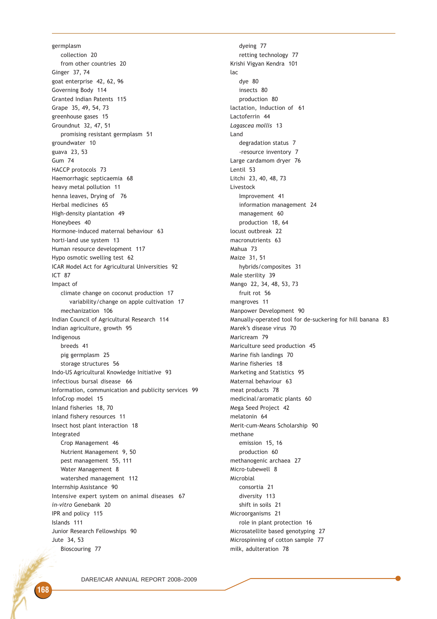germplasm collection 20 from other countries 20 Ginger 37, 74 goat enterprise 42, 62, 96 Governing Body 114 Granted Indian Patents 115 Grape 35, 49, 54, 73 greenhouse gases 15 Groundnut 32, 47, 51 promising resistant germplasm 51 groundwater 10 guava 23, 53 Gum 74 HACCP protocols 73 Haemorrhagic septicaemia 68 heavy metal pollution 11 henna leaves, Drying of 76 Herbal medicines 65 High-density plantation 49 Honeybees 40 Hormone-induced maternal behaviour 63 horti-land use system 13 Human resource development 117 Hypo osmotic swelling test 62 ICAR Model Act for Agricultural Universities 92 ICT 87 Impact of climate change on coconut production 17 variability/change on apple cultivation 17 mechanization 106 Indian Council of Agricultural Research 114 Indian agriculture, growth 95 Indigenous breeds 41 pig germplasm 25 storage structures 56 Indo-US Agricultural Knowledge Initiative 93 infectious bursal disease 66 Information, communication and publicity services 99 InfoCrop model 15 Inland fisheries 18, 70 inland fishery resources 11 Insect host plant interaction 18 Integrated Crop Management 46 Nutrient Management 9, 50 pest management 55, 111 Water Management 8 watershed management 112 Internship Assistance 90 Intensive expert system on animal diseases 67 in-vitro Genebank 20 IPR and policy 115 Islands 111 Junior Research Fellowships 90 Jute 34, 53 Bioscouring 77

dyeing 77 retting technology 77 Krishi Vigyan Kendra 101 lac dye 80 insects 80 production 80 lactation, Induction of 61 Lactoferrin 44 Lagascea mollis 13 Land degradation status 7 -resource inventory 7 Large cardamom dryer 76 Lentil 53 Litchi 23, 40, 48, 73 Livestock Improvement 41 information management 24 management 60 production 18, 64 locust outbreak 22 macronutrients 63 Mahua 73 Maize 31, 51 hybrids/composites 31 Male sterility 39 Mango 22, 34, 48, 53, 73 fruit rot 56 mangroves 11 Manpower Development 90 Manually-operated tool for de-suckering for hill banana 83 Marek's disease virus 70 Maricream 79 Mariculture seed production 45 Marine fish landings 70 Marine fisheries 18 Marketing and Statistics 95 Maternal behaviour 63 meat products 78 medicinal/aromatic plants 60 Mega Seed Project 42 melatonin 64 Merit-cum-Means Scholarship 90 methane emission 15, 16 production 60 methanogenic archaea 27 Micro-tubewell 8 Microbial consortia 21 diversity 113 shift in soils 21 Microorganisms 21 role in plant protection 16 Microsatellite based genotyping 27 Microspinning of cotton sample 77 milk, adulteration 78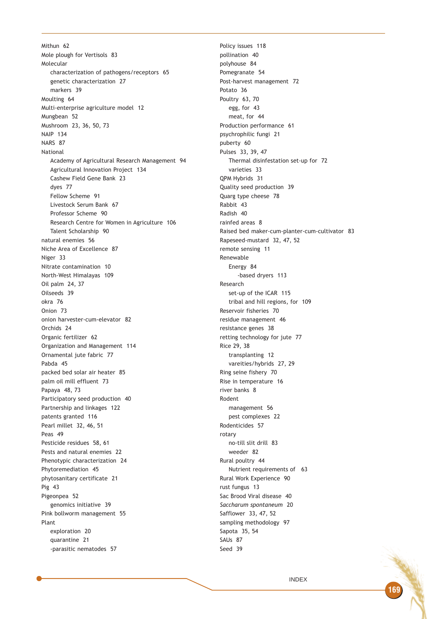Mithun 62 Mole plough for Vertisols 83 Molecular characterization of pathogens/receptors 65 genetic characterization 27 markers 39 Moulting 64 Multi-enterprise agriculture model 12 Mungbean 52 Mushroom 23, 36, 50, 73 NAIP 134 NARS 87 National Academy of Agricultural Research Management 94 Agricultural Innovation Project 134 Cashew Field Gene Bank 23 dyes 77 Fellow Scheme 91 Livestock Serum Bank 67 Professor Scheme 90 Research Centre for Women in Agriculture 106 Talent Scholarship 90 natural enemies 56 Niche Area of Excellence 87 Niger 33 Nitrate contamination 10 North-West Himalayas 109 Oil palm 24, 37 Oilseeds 39 okra 76 Onion 73 onion harvester-cum-elevator 82 Orchids 24 Organic fertilizer 62 Organization and Management 114 Ornamental jute fabric 77 Pabda 45 packed bed solar air heater 85 palm oil mill effluent 73 Papaya 48, 73 Participatory seed production 40 Partnership and linkages 122 patents granted 116 Pearl millet 32, 46, 51 Peas 49 Pesticide residues 58, 61 Pests and natural enemies 22 Phenotypic characterization 24 Phytoremediation 45 phytosanitary certificate 21 Pig 43 Pigeonpea 52 genomics initiative 39 Pink bollworm management 55 Plant exploration 20 quarantine 21 -parasitic nematodes 57

Policy issues 118 pollination 40 polyhouse 84 Pomegranate 54 Post-harvest management 72 Potato 36 Poultry 63, 70 egg, for 43 meat, for 44 Production performance 61 psychrophilic fungi 21 puberty 60 Pulses 33, 39, 47 Thermal disinfestation set-up for 72 varieties 33 QPM Hybrids 31 Quality seed production 39 Quarg type cheese 78 Rabbit 43 Radish 40 rainfed areas 8 Raised bed maker-cum-planter-cum-cultivator 83 Rapeseed-mustard 32, 47, 52 remote sensing 11 Renewable Energy 84 -based dryers 113 Research set-up of the ICAR 115 tribal and hill regions, for 109 Reservoir fisheries 70 residue management 46 resistance genes 38 retting technology for jute 77 Rice 29, 38 transplanting 12 vareities/hybrids 27, 29 Ring seine fishery 70 Rise in temperature 16 river banks 8 Rodent management 56 pest complexes 22 Rodenticides 57 rotary no-till slit drill 83 weeder 82 Rural poultry 44 Nutrient requirements of 63 Rural Work Experience 90 rust fungus 13 Sac Brood Viral disease 40 Saccharum spontaneum 20 Safflower 33, 47, 52 sampling methodology 97 Sapota 35, 54 SAUs 87 Seed 39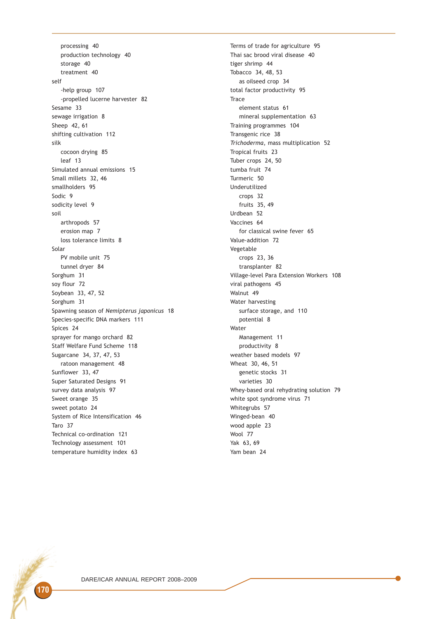processing 40 production technology 40 storage 40 treatment 40 self -help group 107 -propelled lucerne harvester 82 Sesame 33 sewage irrigation 8 Sheep 42, 61 shifting cultivation 112 silk cocoon drying 85 leaf 13 Simulated annual emissions 15 Small millets 32, 46 smallholders 95 Sodic 9 sodicity level 9 soil arthropods 57 erosion map 7 loss tolerance limits 8 Solar PV mobile unit 75 tunnel dryer 84 Sorghum 31 soy flour 72 Soybean 33, 47, 52 Sorghum 31 Spawning season of Nemipterus japonicus 18 Species-specific DNA markers 111 Spices 24 sprayer for mango orchard 82 Staff Welfare Fund Scheme 118 Sugarcane 34, 37, 47, 53 ratoon management 48 Sunflower 33, 47 Super Saturated Designs 91 survey data analysis 97 Sweet orange 35 sweet potato 24 System of Rice Intensification 46 Taro 37 Technical co-ordination 121 Technology assessment 101 temperature humidity index 63

Terms of trade for agriculture 95 Thai sac brood viral disease 40 tiger shrimp 44 Tobacco 34, 48, 53 as oilseed crop 34 total factor productivity 95 **Trace** element status 61 mineral supplementation 63 Training programmes 104 Transgenic rice 38 Trichoderma, mass multiplication 52 Tropical fruits 23 Tuber crops 24, 50 tumba fruit 74 Turmeric 50 Underutilized crops 32 fruits 35, 49 Urdbean 52 Vaccines 64 for classical swine fever 65 Value-addition 72 Vegetable crops 23, 36 transplanter 82 Village-level Para Extension Workers 108 viral pathogens 45 Walnut 49 Water harvesting surface storage, and 110 potential 8 Water Management 11 productivity 8 weather based models 97 Wheat 30, 46, 51 genetic stocks 31 varieties 30 Whey-based oral rehydrating solution 79 white spot syndrome virus 71 Whitegrubs 57 Winged-bean 40 wood apple 23 Wool 77 Yak 63, 69 Yam bean 24